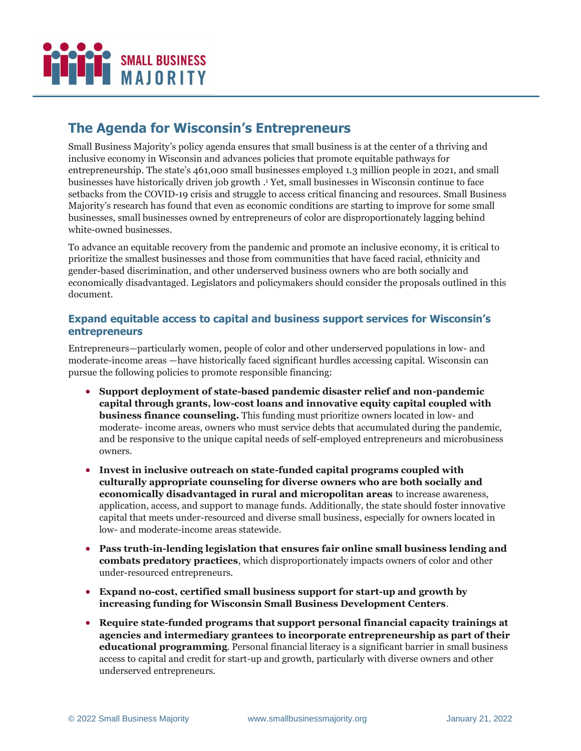

# **The Agenda for Wisconsin's Entrepreneurs**

Small Business Majority's policy agenda ensures that small business is at the center of a thriving and inclusive economy in Wisconsin and advances policies that promote equitable pathways for entrepreneurship. The state's 461,000 small businesses employed 1.3 million people in 2021, and small businesses have historically driven job growth . <sup>1</sup> Yet, small businesses in Wisconsin continue to face setbacks from the COVID-19 crisis and struggle to access critical financing and resources. Small Business Majority's research has found that even as economic conditions are starting to improve for some small businesses, small businesses owned by entrepreneurs of color are disproportionately lagging behind white-owned businesses.

To advance an equitable recovery from the pandemic and promote an inclusive economy, it is critical to prioritize the smallest businesses and those from communities that have faced racial, ethnicity and gender-based discrimination, and other underserved business owners who are both socially and economically disadvantaged. Legislators and policymakers should consider the proposals outlined in this document.

## **Expand equitable access to capital and business support services for Wisconsin's entrepreneurs**

Entrepreneurs—particularly women, people of color and other underserved populations in low- and moderate-income areas —have historically faced significant hurdles accessing capital. Wisconsin can pursue the following policies to promote responsible financing:

- **Support deployment of state-based pandemic disaster relief and non-pandemic capital through grants, low-cost loans and innovative equity capital coupled with business finance counseling.** This funding must prioritize owners located in low- and moderate- income areas, owners who must service debts that accumulated during the pandemic, and be responsive to the unique capital needs of self-employed entrepreneurs and microbusiness owners.
- **Invest in inclusive outreach on state-funded capital programs coupled with culturally appropriate counseling for diverse owners who are both socially and economically disadvantaged in rural and micropolitan areas** to increase awareness, application, access, and support to manage funds. Additionally, the state should foster innovative capital that meets under-resourced and diverse small business, especially for owners located in low- and moderate-income areas statewide.
- **Pass truth-in-lending legislation that ensures fair online small business lending and combats predatory practices**, which disproportionately impacts owners of color and other under-resourced entrepreneurs.
- **Expand no-cost, certified small business support for start-up and growth by increasing funding for Wisconsin Small Business Development Centers**.
- **Require state-funded programs that support personal financial capacity trainings at agencies and intermediary grantees to incorporate entrepreneurship as part of their educational programming**. Personal financial literacy is a significant barrier in small business access to capital and credit for start-up and growth, particularly with diverse owners and other underserved entrepreneurs.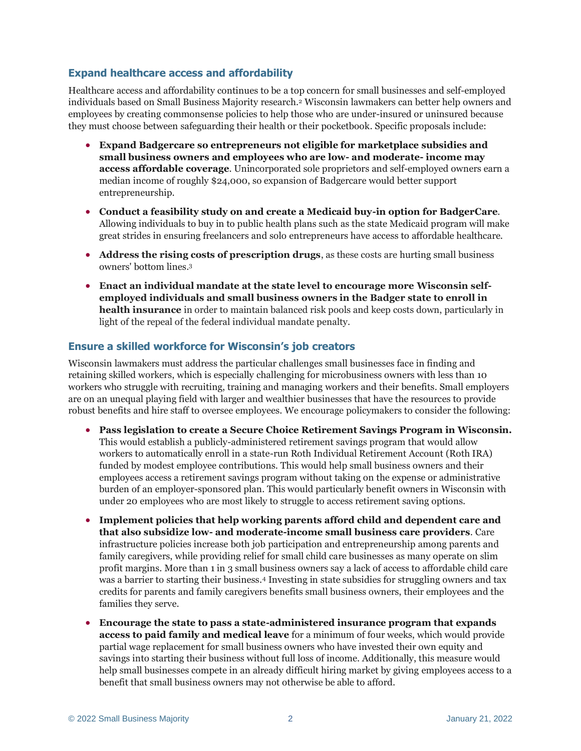## **Expand healthcare access and affordability**

Healthcare access and affordability continues to be a top concern for small businesses and self-employed individuals based on Small Business Majority research. <sup>2</sup> Wisconsin lawmakers can better help owners and employees by creating commonsense policies to help those who are under-insured or uninsured because they must choose between safeguarding their health or their pocketbook. Specific proposals include:

- **Expand Badgercare so entrepreneurs not eligible for marketplace subsidies and small business owners and employees who are low- and moderate- income may access affordable coverage**. Unincorporated sole proprietors and self-employed owners earn a median income of roughly \$24,000, so expansion of Badgercare would better support entrepreneurship.
- **Conduct a feasibility study on and create a Medicaid buy-in option for BadgerCare**. Allowing individuals to buy in to public health plans such as the state Medicaid program will make great strides in ensuring freelancers and solo entrepreneurs have access to affordable healthcare.
- **Address the rising costs of prescription drugs**, as these costs are hurting small business owners' bottom lines. 3
- **Enact an individual mandate at the state level to encourage more Wisconsin selfemployed individuals and small business owners in the Badger state to enroll in health insurance** in order to maintain balanced risk pools and keep costs down, particularly in light of the repeal of the federal individual mandate penalty.

### **Ensure a skilled workforce for Wisconsin's job creators**

Wisconsin lawmakers must address the particular challenges small businesses face in finding and retaining skilled workers, which is especially challenging for microbusiness owners with less than 10 workers who struggle with recruiting, training and managing workers and their benefits. Small employers are on an unequal playing field with larger and wealthier businesses that have the resources to provide robust benefits and hire staff to oversee employees. We encourage policymakers to consider the following:

- **Pass legislation to create a Secure Choice Retirement Savings Program in Wisconsin.**  This would establish a publicly-administered retirement savings program that would allow workers to automatically enroll in a state-run Roth Individual Retirement Account (Roth IRA) funded by modest employee contributions. This would help small business owners and their employees access a retirement savings program without taking on the expense or administrative burden of an employer-sponsored plan. This would particularly benefit owners in Wisconsin with under 20 employees who are most likely to struggle to access retirement saving options.
- **Implement policies that help working parents afford child and dependent care and that also subsidize low- and moderate-income small business care providers**. Care infrastructure policies increase both job participation and entrepreneurship among parents and family caregivers, while providing relief for small child care businesses as many operate on slim profit margins. More than 1 in 3 small business owners say a lack of access to affordable child care was a barrier to starting their business. <sup>4</sup> Investing in state subsidies for struggling owners and tax credits for parents and family caregivers benefits small business owners, their employees and the families they serve.
- **Encourage the state to pass a state-administered insurance program that expands access to paid family and medical leave** for a minimum of four weeks, which would provide partial wage replacement for small business owners who have invested their own equity and savings into starting their business without full loss of income. Additionally, this measure would help small businesses compete in an already difficult hiring market by giving employees access to a benefit that small business owners may not otherwise be able to afford.